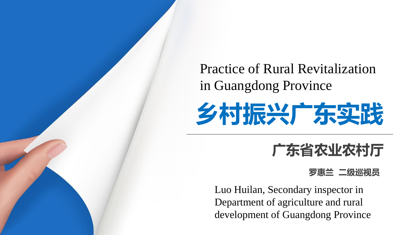Practice of Rural Revitalization in Guangdong Province



### **广东省农业农村厅**

#### **罗惠兰 二级巡视员**

Luo Huilan, Secondary inspector in Department of agriculture and rural development of Guangdong Province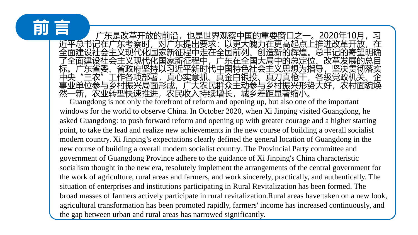## **前 言**

广东是改革开放的前沿,也是世界观察中国的重要窗口之一。2020年10月,习 提出要求・以更大魄力在更高起占 国家新征程中走在全国 弋化国家新征程中,广东在全国大局中的总定位、改革<br><sup>区</sup>共以习近平新时代中国特色社会主义思想为指导,坚 标。广东省委、省政府坚持以习近平新时代中国特色社会主义思想为指导,坚决贯彻落实 各项部署,真心实意抓、真金白银投、真刀真枪干,各级党政<br>振兴局面形成,广大农民群众主动参与乡村振兴形势大好,农 村振兴局面形成,广大农民群众主动参与乡村振兴形势大好 农业转型快速推进,农民收入持续增长,城乡差距显著缩小。

Guangdong is not only the forefront of reform and opening up, but also one of the important windows for the world to observe China. In October 2020, when Xi Jinping visited Guangdong, he asked Guangdong: to push forward reform and opening up with greater courage and a higher starting point, to take the lead and realize new achievements in the new course of building a overall socialist modern country. Xi Jinping's expectations clearly defined the general location of Guangdong in the new course of building a overall modern socialist country. The Provincial Party committee and government of Guangdong Province adhere to the guidance of Xi Jinping's China characteristic socialism thought in the new era, resolutely implement the arrangements of the central government for the work of agriculture, rural areas and farmers, and work sincerely, practically, and authentically. The situation of enterprises and institutions participating in Rural Revitalization has been formed. The broad masses of farmers actively participate in rural revitalization.Rural areas have taken on a new look, agricultural transformation has been promoted rapidly, farmers' income has increased continuously, and the gap between urban and rural areas has narrowed significantly.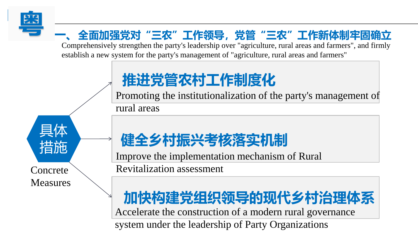

### **粤 一、全面加强党对"三农"工作领导,党管"三农"工作新体制牢固确立**

Comprehensively strengthen the party's leadership over "agriculture, rural areas and farmers", and firmly establish a new system for the party's management of "agriculture, rural areas and farmers"

## **推进党管农村工作制度化**

Promoting the institutionalization of the party's management of

rural areas

**Concrete** Measures

具体

措施

## **健全乡村振兴考核落实机制**

Improve the implementation mechanism of Rural Revitalization assessment

# **加快构建党组织领导的现代乡村治理体系**

Accelerate the construction of a modern rural governance

system under the leadership of Party Organizations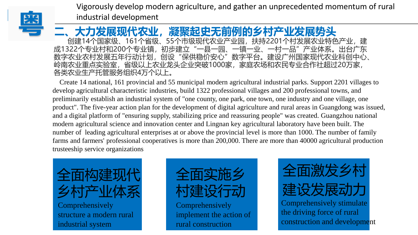

Vigorously develop modern agriculture, and gather an unprecedented momentum of rural industrial development

项目一 项目二 项目三 项目四 **二、大力发展现代农业,凝聚起史无前例的乡村产业发展势头** 创建14个国家级、161个省级、55个市级现代农业产业园,扶持2201个村发展农业特色产业,建 成1322个专业村和200个专业镇,初步建立"一县一园、一镇一业、一村一品"产业体系。出台广东 数字农业农村发展五年行动计划,创设"保供稳价安心"数字平台。建设广州国家现代农业科创中心、 岭南农业重点实验室,省级以上农业龙头企业突破1000家,家庭农场和农民专业合作社超过20万家, 各类农业生产托管服务组织4万个以上。

Create 14 national, 161 provincial and 55 municipal modern agricultural industrial parks. Support 2201 villages to develop agricultural characteristic industries, build 1322 professional villages and 200 professional towns, and preliminarily establish an industrial system of "one county, one park, one town, one industry and one village, one product". The five-year action plan for the development of digital agriculture and rural areas in Guangdong was issued, and a digital platform of "ensuring supply, stabilizing price and reassuring people" was created. Guangzhou national modern agricultural science and innovation center and Lingnan key agricultural laboratory have been built. The number of leading agricultural enterprises at or above the provincial level is more than 1000. The number of family farms and farmers' professional cooperatives is more than 200,000. There are more than 40000 agricultural production trusteeship service organizations





Comprehensively implement the action of rural construction



construction and development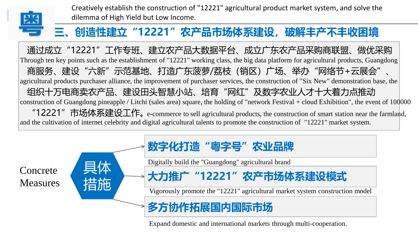

Creatively establish the construction of "12221" agricultural product market system, and solve the dilemma of High Yield but Low Income.

#### **粤 三、创造性建立"12221"农产品市场体系建设,破解丰产不丰收困境**

通过成立"12221"工作专班、建立农产品大数据平台、成立广东农产品采购商联盟、做优采购 商服务、建设"六新"示范基地、打造广东菠萝/荔枝(销区)广场、举办"网络节+云展会"、 组织十万电商卖农产品、建设田头智慧小站、培育"网红"及数字农业人才十大着力点推动 "12221"市场体系建设工作。 e-commerce to sell agricultural products, the construction of smart station near the farmland, Through ten key points such as the establishment of "12221" working class, the big data platform for agricultural products, Guangdong agricultural products purchaser alliance, the improvement of purchaser services, the construction of "Six New" demonstration base, the construction of Guangdong pineapple / Litchi (sales area) square, the holding of "network Festival + cloud Exhibition", the event of 100000 and the cultivation of internet celebrity and digital agricultural talents to promote the construction of "12221" market system.

Concrete **Measures** 



**多方协作拓展国内国际市场**

Expand domestic and international markets through multi-cooperation.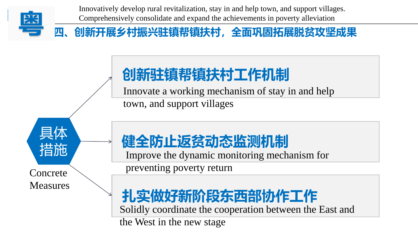

Innovatively develop rural revitalization, stay in and help town, and support villages. Comprehensively consolidate and expand the achievements in poverty alleviation

### **粤 四、创新开展乡村振兴驻镇帮镇扶村,全面巩固拓展脱贫攻坚成果**

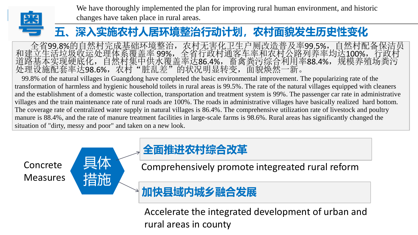

We have thoroughly implemented the plan for improving rural human environment, and historic changes have taken place in rural areas.

#### **粤 五、深入实施农村人居环境整治行动计划,农村面貌发生历史性变化**

全省99.8%的自然村完成基础环境整治,农村无害化卫生户厕改造普及率99.5%,自然村配备保洁员 和建立生活垃圾收运处理体系覆盖率 99%,全省行政村通客车率和农村公路列养率均达100%,行政村 道路基本实现硬底化,自然村集中供水覆盖率达86.4%,畜禽粪污综合利用率88.4%,规模养殖场粪污 处理设施配套率达98.6%,农村"脏乱差"的状况明显转变,面貌焕然一新。

99.8% of the natural villages in Guangdong have completed the basic environmental improvement. The popularizing rate of the transformation of harmless and hygienic household toilets in rural areas is 99.5%. The rate of the natural villages equipped with cleaners and the establishment of a domestic waste collection, transportation and treatment system is 99%. The passenger car rate in administrative villages and the train maintenance rate of rural roads are 100%. The roads in administrative villages have basically realized hard bottom. The coverage rate of centralized water supply in natural villages is 86.4%. The comprehensive utilization rate of livestock and poultry manure is 88.4%, and the rate of manure treatment facilities in large-scale farms is 98.6%. Rural areas has significantly changed the situation of "dirty, messy and poor" and taken on a new look.

Concrete Measures 具体

指



Comprehensively promote integreated rural reform

**加快县域内城乡融合发展**

Accelerate the integrated development of urban and rural areas in county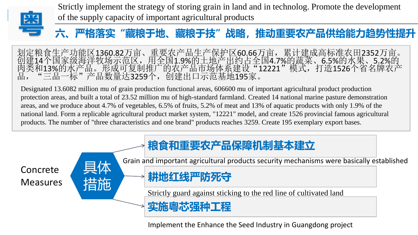

Strictly implement the strategy of storing grain in land and in technolog. Promote the development of the supply capacity of important agricultural products

#### **粤 六、严格落实"藏粮于地、藏粮于技"战略,推动重要农产品供给能力趋势性提升**

划定粮食生产功能区1360.82万亩、重要农产品生产保护区60.66万亩,累计建成高标准农田2352万亩。 创建14个国家级海洋牧场示范区,用全国1.9%的土地产出约占全国4.7%的蔬菜、6.5%的水果、5.2%的 肉类和13%的水产品。形成可复制推广的农产品市场体系建设"12221"模式,打造1526个省名牌农产 品, "三品一标"产品数量达3259个, 创建出口示范基地195家。

Designated 13.6082 million mu of grain production functional areas, 606600 mu of important agricultural product production protection areas, and built a total of 23.52 million mu of high-standard farmland. Created 14 national marine pasture demonstration areas, and we produce about 4.7% of vegetables, 6.5% of fruits, 5.2% of meat and 13% of aquatic products with only 1.9% of the national land. Form a replicable agricultural product market system, "12221" model, and create 1526 provincial famous agricultural products. The number of "three characteristics and one brand" products reaches 3259. Create 195 exemplary export bases.



Implement the Enhance the Seed Industry in Guangdong project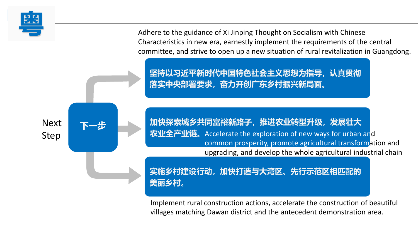

**粤** Adhere to the guidance of Xi Jinping Thought on Socialism with Chinese Characteristics in new era, earnestly implement the requirements of the central committee, and strive to open up a new situation of rural revitalization in Guangdong.

**坚持以习近平新时代中国特色社会主义思想为指导,认真贯彻 落实中央部署要求,奋力开创广东乡村振兴新局面。**

**加快探索城乡共同富裕新路子,推进农业转型升级,发展壮大 农业全产业链。**Accelerate the exploration of new ways for urban an<mark>d</mark> common prosperity, promote agricultural transformation and upgrading, and develop the whole agricultural industrial chain.

**实施乡村建设行动,加快打造与大湾区、先行示范区相匹配的 美丽乡村。**

Implement rural construction actions, accelerate the construction of beautiful villages matching Dawan district and the antecedent demonstration area.

Next Step

**下一步**